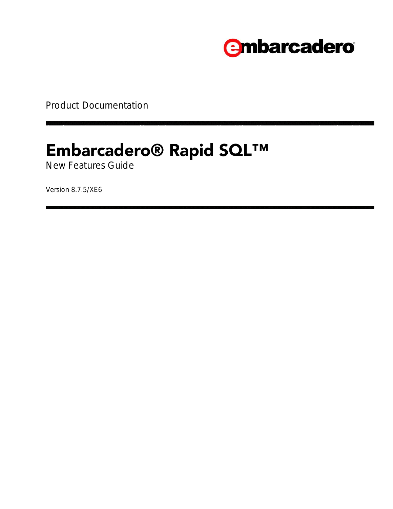

Product Documentation

# **Embarcadero® Rapid SQL™**

New Features Guide

Version 8.7.5/XE6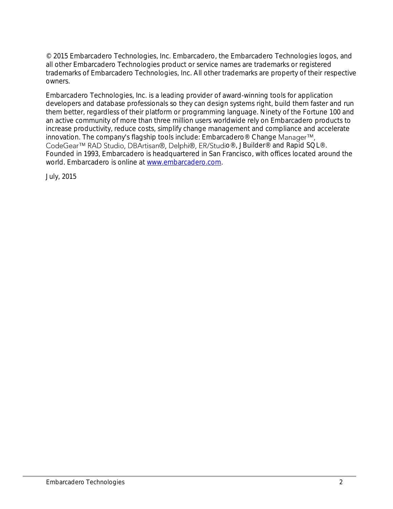© 2015 Embarcadero Technologies, Inc. Embarcadero, the Embarcadero Technologies logos, and all other Embarcadero Technologies product or service names are trademarks or registered trademarks of Embarcadero Technologies, Inc. All other trademarks are property of their respective owners.

Embarcadero Technologies, Inc. is a leading provider of award-winning tools for application developers and database professionals so they can design systems right, build them faster and run them better, regardless of their platform or programming language. Ninety of the Fortune 100 and an active community of more than three million users worldwide rely on Embarcadero products to increase productivity, reduce costs, simplify change management and compliance and accelerate innovation. The company's flagship tools include: Embarcadero® Change CodeGear<sup>™</sup> RAD Studio, DBArtisan®, Delphi®, ER/Studio®, JBuilder® and Rapid SQL®. Founded in 1993, Embarcadero is headquartered in San Francisco, with offices located around the world. Embarcadero is online at [www.embarcadero.com.](http://www.embarcadero.com/)

July, 2015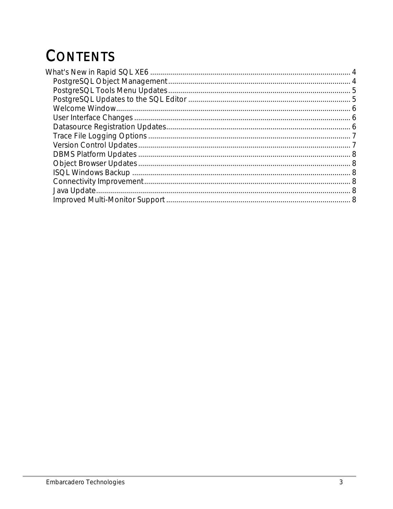# **CONTENTS**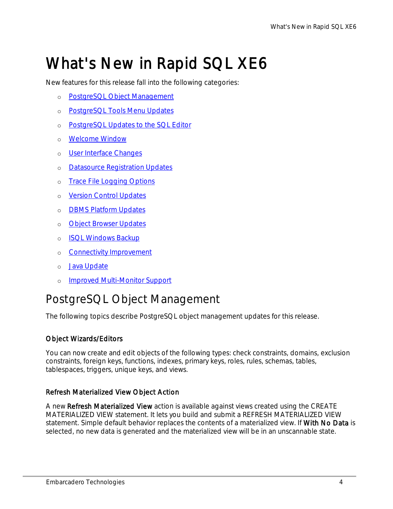# <span id="page-3-0"></span>What's New in Rapid SQL XE6

New features for this release fall into the following categories:

- o [PostgreSQL Object Management](#page-3-1)
- o [PostgreSQL Tools Menu Updates](#page-4-0)
- o [PostgreSQL Updates to the SQL Editor](#page-4-1)
- o [Welcome Window](#page-5-0)
- o [User Interface Changes](#page-5-1)
- o [Datasource Registration Updates](#page-5-2)
- o [Trace File Logging Options](#page-6-0)
- o [Version Control Updates](#page-6-1)
- o [DBMS Platform Updates](#page-7-0)
- o **[Object Browser Updates](#page-7-1)**
- o [ISQL Windows Backup](#page-7-2)
- o [Connectivity Improvement](#page-7-3)
- o [Java Update](#page-7-4)
- o [Improved Multi-Monitor Support](#page-7-6)

# <span id="page-3-1"></span>PostgreSQL Object Management

The following topics describe PostgreSQL object management updates for this release.

#### Object Wizards/Editors

You can now create and edit objects of the following types: check constraints, domains, exclusion constraints, foreign keys, functions, indexes, primary keys, roles, rules, schemas, tables, tablespaces, triggers, unique keys, and views.

#### Refresh Materialized View Object Action

A new Refresh Materialized View action is available against views created using the CREATE MATERIALIZED VIEW statement. It lets you build and submit a REFRESH MATERIALIZED VIEW statement. Simple default behavior replaces the contents of a materialized view. If With No Data is selected, no new data is generated and the materialized view will be in an unscannable state.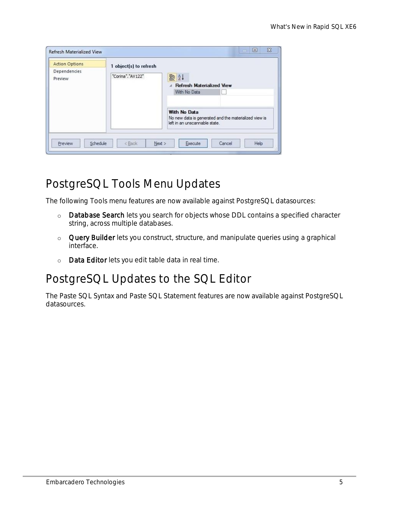| <b>Action Options</b>   | 1 object(s) to refresh |                                                                                                        |  |  |
|-------------------------|------------------------|--------------------------------------------------------------------------------------------------------|--|--|
| Dependencies<br>Preview | "Corina", "AV122"      | ■ 2↓<br><b>Refresh Materialized View</b><br>With No Data                                               |  |  |
|                         |                        | With No Data<br>No new data is generated and the materialized view is<br>left in an unscannable state. |  |  |

# <span id="page-4-0"></span>PostgreSQL Tools Menu Updates

The following Tools menu features are now available against PostgreSQL datasources:

- o Database Search lets you search for objects whose DDL contains a specified character string, across multiple databases.
- o Query Builder lets you construct, structure, and manipulate queries using a graphical interface.
- o Data Editor lets you edit table data in real time.

# <span id="page-4-1"></span>PostgreSQL Updates to the SQL Editor

The Paste SQL Syntax and Paste SQL Statement features are now available against PostgreSQL datasources.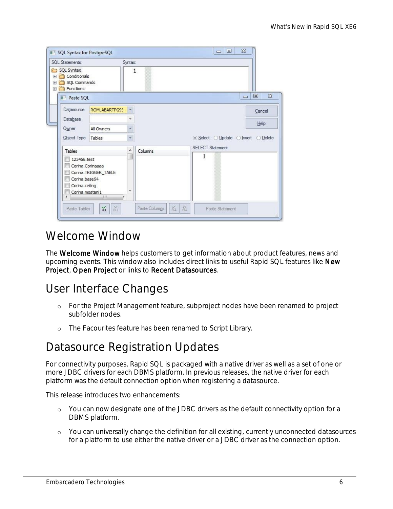| SQL Statements:                                                                                    |               | Syntax:                 |                                               |
|----------------------------------------------------------------------------------------------------|---------------|-------------------------|-----------------------------------------------|
| SQL Syntax<br>$\rightarrow$<br>Conditionals<br>田<br>SQL Commands<br>$\mathbb{H}$<br>Functions<br>田 |               | 1                       |                                               |
| Paste SQL                                                                                          |               |                         | $\Sigma$<br>回<br>$\qquad \qquad \blacksquare$ |
| Datasource                                                                                         | ROMLABARTPG93 |                         | Cancel                                        |
| Database                                                                                           |               | ٠                       | Help                                          |
| Owner                                                                                              | All Owners    | w                       |                                               |
| Object Type                                                                                        | Tables        | $\overline{\mathbf{v}}$ | ⊙ Select ⊙ Update ⊙ Insert<br>◯ Delete        |
| Tables                                                                                             |               | ۸<br>Columns            | <b>SELECT Statement</b>                       |
| 123456.test<br>Corina, Corinaaaa                                                                   |               |                         | 1                                             |

### <span id="page-5-0"></span>Welcome Window

The **Welcome Window** helps customers to get information about product features, news and upcoming events. This window also includes direct links to useful Rapid SQL features like New Project, Open Project or links to Recent Datasources.

### <span id="page-5-1"></span>User Interface Changes

- o For the Project Management feature, subproject nodes have been renamed to project subfolder nodes.
- o The Facourites feature has been renamed to Script Library.

### <span id="page-5-2"></span>Datasource Registration Updates

For connectivity purposes, Rapid SQL is packaged with a native driver as well as a set of one or more JDBC drivers for each DBMS platform. In previous releases, the native driver for each platform was the default connection option when registering a datasource.

This release introduces two enhancements:

- o You can now designate one of the JDBC drivers as the default connectivity option for a DBMS platform.
- o You can universally change the definition for all existing, currently unconnected datasources for a platform to use either the native driver or a JDBC driver as the connection option.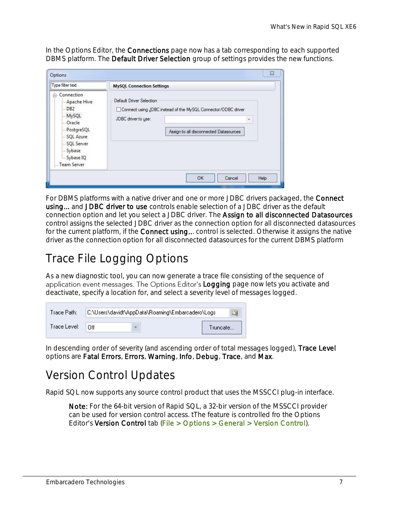In the Options Editor, the **Connections** page now has a tab corresponding to each supported DBMS platform. The Default Driver Selection group of settings provides the new functions.

| Type filter text                                                                                                                            | <b>MySQL Connection Settings</b>                |                                                                                                         |  |
|---------------------------------------------------------------------------------------------------------------------------------------------|-------------------------------------------------|---------------------------------------------------------------------------------------------------------|--|
| □ Connection<br>Apache Hive<br>$-DB2$<br>- MySQL<br>Oracle<br>- PostgreSQL<br>SQL Azure<br>SQL Server<br>Sybase<br>Sybase IQ<br>Team Server | Default Driver Selection<br>JDBC driver to use: | Connect using JDBC instead of the MySQL Connector/ODBC driver<br>Assign to all disconnected Datasources |  |

For DBMS platforms with a native driver and one or more JDBC drivers packaged, the Connect using... and JDBC driver to use controls enable selection of a JDBC driver as the default connection option and let you select a JDBC driver. The Assign to all disconnected Datasources control assigns the selected JDBC driver as the connection option for all disconnected datasources for the current platform, if the **Connect using..**. control is selected. Otherwise it assigns the native driver as the connection option for all disconnected datasources for the current DBMS platform

# <span id="page-6-0"></span>Trace File Logging Options

As a new diagnostic tool, you can now generate a trace file consisting of the sequence of application event messages. The Options Editor's Logging page now lets you activate and deactivate, specify a location for, and select a severity level of messages logged.

| Trace Path:  | C:\Users\davidt\AppData\Roaming\Embarcadero\Logs |  |          |  |  |
|--------------|--------------------------------------------------|--|----------|--|--|
| Trace Level: | Πff                                              |  | Truncate |  |  |

In descending order of severity (and ascending order of total messages logged), Trace Level options are Fatal Errors, Errors, Warning, Info, Debug, Trace, and Max.

#### <span id="page-6-1"></span>Version Control Updates

Rapid SQL now supports any source control product that uses the MSSCCI plug-in interface.

Note: For the 64-bit version of Rapid SQL, a 32-bir version of the MSSCCI provider can be used for version control access. tThe feature is controlled fro the Options Editor's Version Control tab (File > Options > General > Version Control).